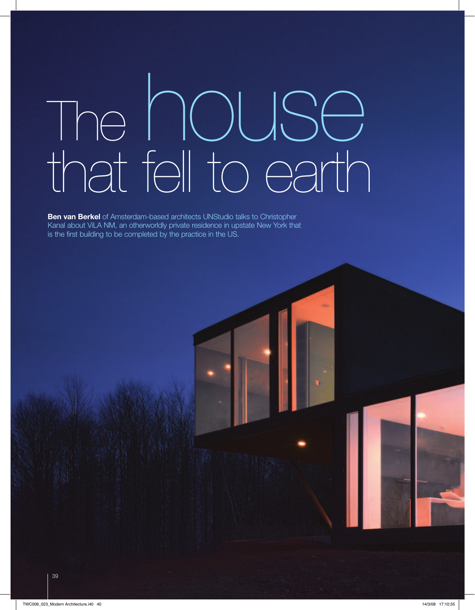# The house that fell to earth

**Ben van Berkel** of Amsterdam-based architects UNStudio talks to Christopher Kanal about ViLA NM, an otherworldly private residence in upstate New York that is the first building to be completed by the practice in the US.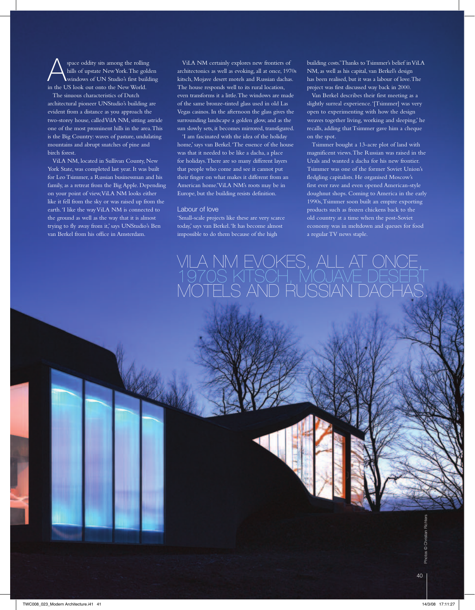space oddity sits among the rolling hills of upstate New York. The golden windows of UN Studio's first building in the US look out onto the New World. The sinuous characteristics of Dutch

architectural pioneer UNStudio's building are evident from a distance as you approach the two-storey house, called VilA NM, sitting astride one of the most prominent hills in the area. This is the Big Country: waves of pasture, undulating mountains and abrupt snatches of pine and birch forest.

ViLA NM, located in Sullivan County, New York State, was completed last year. It was built for Leo Tsimmer, a Russian businessman and his family, as a retreat from the Big Apple. Depending on your point of view, ViLA NM looks either like it fell from the sky or was raised up from the earth. 'I like the way ViLA NM is connected to the ground as well as the way that it is almost trying to fly away from it,' says UNStudio's Ben van Berkel from his office in Amsterdam.

ViLA NM certainly explores new frontiers of architectonics as well as evoking, all at once, 1970s kitsch, Mojave desert motels and Russian dachas. The house responds well to its rural location, even transforms it a little. The windows are made of the same bronze-tinted glass used in old Las Vegas casinos. In the afternoon the glass gives the surrounding landscape a golden glow, and as the sun slowly sets, it becomes mirrored, transfigured.

'I am fascinated with the idea of the holiday home,' says van Berkel. 'The essence of the house was that it needed to be like a dacha, a place for holidays. There are so many different layers that people who come and see it cannot put their finger on what makes it different from an American home.' ViLA NM's roots may be in Europe, but the building resists definition.

#### Labour of love

'Small-scale projects like these are very scarce today,' says van Berkel. 'It has become almost impossible to do them because of the high

building costs.' Thanks to Tsimmer's belief in ViLA NM, as well as his capital, van Berkel's design has been realised, but it was a labour of love. The project was first discussed way back in 2000.

Van Berkel describes their first meeting as a slightly surreal experience. '[Tsimmer] was very open to experimenting with how the design weaves together living, working and sleeping,' he recalls, adding that Tsimmer gave him a cheque on the spot.

Tsimmer bought a 13-acre plot of land with magnificent views. The Russian was raised in the Urals and wanted a dacha for his new frontier. Tsimmer was one of the former Soviet Union's fledgling capitalists. He organised Moscow's first ever rave and even opened American-style doughnut shops. Coming to America in the early 1990s, Tsimmer soon built an empire exporting products such as frozen chickens back to the old country at a time when the post-Soviet economy was in meltdown and queues for food a regular TV news staple.

1LA NM EVOKES, ALL AT O<br>970S KITSCH, MOJAVE D <u>' S'AND RUSSIAN DA</u>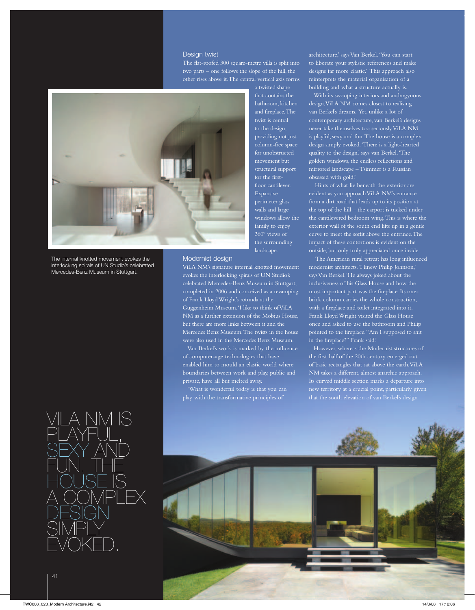#### Desian twist

The flat-roofed 300 square-metre villa is split into two parts – one follows the slope of the hill, the other rises above it. The central vertical axis forms



The internal knotted movement evokes the interlocking spirals of UN Studio's celebrated Mercedes-Benz Museum in Stuttgart.

## ViLA NM is playful,<br>SEXY AND fun. The house is a complex DESIG simply evoked.

a twisted shape that contains the bathroom, kitchen and fireplace. The twist is central to the design, providing not just column-free space for unobstructed movement but structural support for the firstfloor cantilever. Expansive perimeter glass walls and large windows allow the family to enjoy the surrounding landscape.

#### Modernist design

ViLA NM's signature internal knotted movement evokes the interlocking spirals of UN Studio's celebrated Mercedes-Benz Museum in Stuttgart, completed in 2006 and conceived as a revamping of Frank Lloyd Wright's rotunda at the Guggenheim Museum. 'I like to think of ViLA NM as a further extension of the Mobius House, but there are more links between it and the Mercedes Benz Museum. The twists in the house were also used in the Mercedes Benz Museum.

Van Berkel's work is marked by the influence of computer-age technologies that have enabled him to mould an elastic world where boundaries between work and play, public and private, have all but melted away.

'What is wonderful today is that you can

architecture,' says Van Berkel. 'You can start to liberate your stylistic references and make designs far more elastic.' This approach also reinterprets the material organisation of a building and what a structure actually is.

With its swooping interiors and androgynous. design, ViLA NM comes closest to realising van Berkel's dreams. Yet, unlike a lot of contemporary architecture, van Berkel's designs never take themselves too seriously. ViLA NM is playful, sexy and fun. The house is a complex design simply evoked. 'There is a light-hearted quality to the design,' says van Berkel. 'The golden windows, the endless reflections and mirrored landscape – Tsimmer is a Russian obsessed with gold.'

 Hints of what lie beneath the exterior are evident as you approach ViLA NM's entrance from a dirt road that leads up to its position at the top of the hill – the carport is tucked under the cantilevered bedroom wing. This is where the exterior wall of the south end lifts up in a gentle curve to meet the soffit above the entrance. The impact of these contortions is evident on the outside, but only truly appreciated once inside.

 The American rural retreat has long influenced modernist architects. 'I knew Philip Johnson,' says Van Berkel. 'He always joked about the inclusiveness of his Glass House and how the most important part was the fireplace. Its onebrick column carries the whole construction, with a fireplace and toilet integrated into it. Frank Lloyd Wright visited the Glass House once and asked to use the bathroom and Philip pointed to the fireplace. "Am I supposed to shit in the fireplace?" Frank said.'

However, whereas the Modernist structures of the first half of the 20th century emerged out of basic rectangles that sat above the earth, ViLA NM takes a different, almost anarchic approach. Its curved middle section marks a departure into